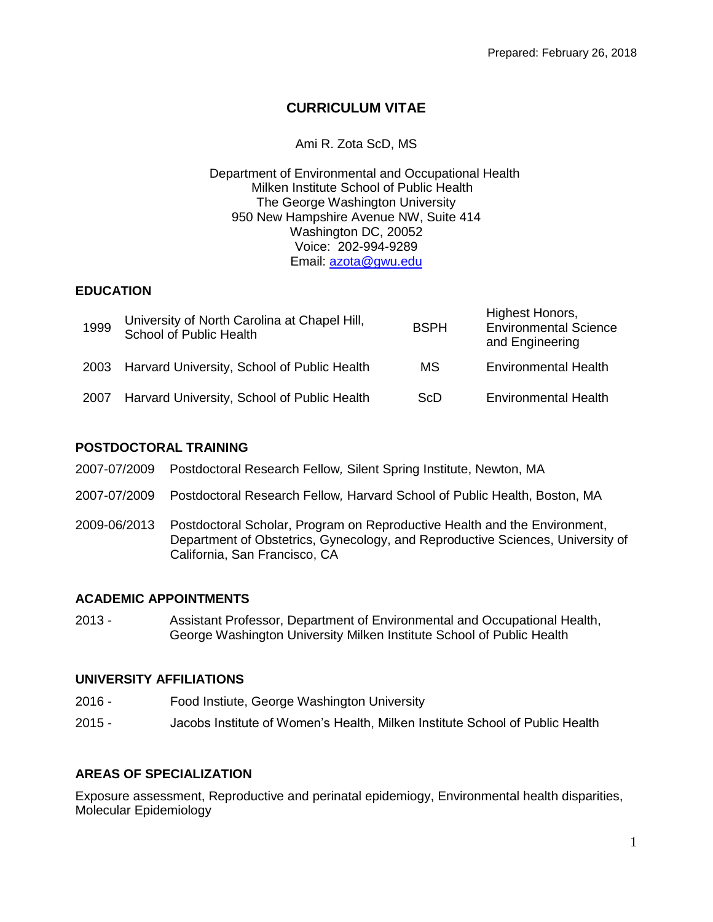# **CURRICULUM VITAE**

# Ami R. Zota ScD, MS

Department of Environmental and Occupational Health Milken Institute School of Public Health The George Washington University 950 New Hampshire Avenue NW, Suite 414 Washington DC, 20052 Voice: 202-994-9289 Email: [azota@gwu.edu](mailto:azota@gwu.edu)

# **EDUCATION**

| 1999 | University of North Carolina at Chapel Hill,<br>School of Public Health | <b>BSPH</b> | Highest Honors,<br><b>Environmental Science</b><br>and Engineering |
|------|-------------------------------------------------------------------------|-------------|--------------------------------------------------------------------|
|      | 2003 Harvard University, School of Public Health                        | МS          | <b>Environmental Health</b>                                        |
| 2007 | Harvard University, School of Public Health                             | <b>ScD</b>  | <b>Environmental Health</b>                                        |

# **POSTDOCTORAL TRAINING**

- 2007-07/2009 Postdoctoral Research Fellow*,* Silent Spring Institute, Newton, MA
- 2007-07/2009 Postdoctoral Research Fellow*,* Harvard School of Public Health, Boston, MA
- 2009-06/2013 Postdoctoral Scholar, Program on Reproductive Health and the Environment, Department of Obstetrics, Gynecology, and Reproductive Sciences, University of California, San Francisco, CA

### **ACADEMIC APPOINTMENTS**

2013 - Assistant Professor, Department of Environmental and Occupational Health, George Washington University Milken Institute School of Public Health

### **UNIVERSITY AFFILIATIONS**

- 2016 Food Instiute, George Washington University
- 2015 Jacobs Institute of Women's Health, Milken Institute School of Public Health

### **AREAS OF SPECIALIZATION**

Exposure assessment, Reproductive and perinatal epidemiogy, Environmental health disparities, Molecular Epidemiology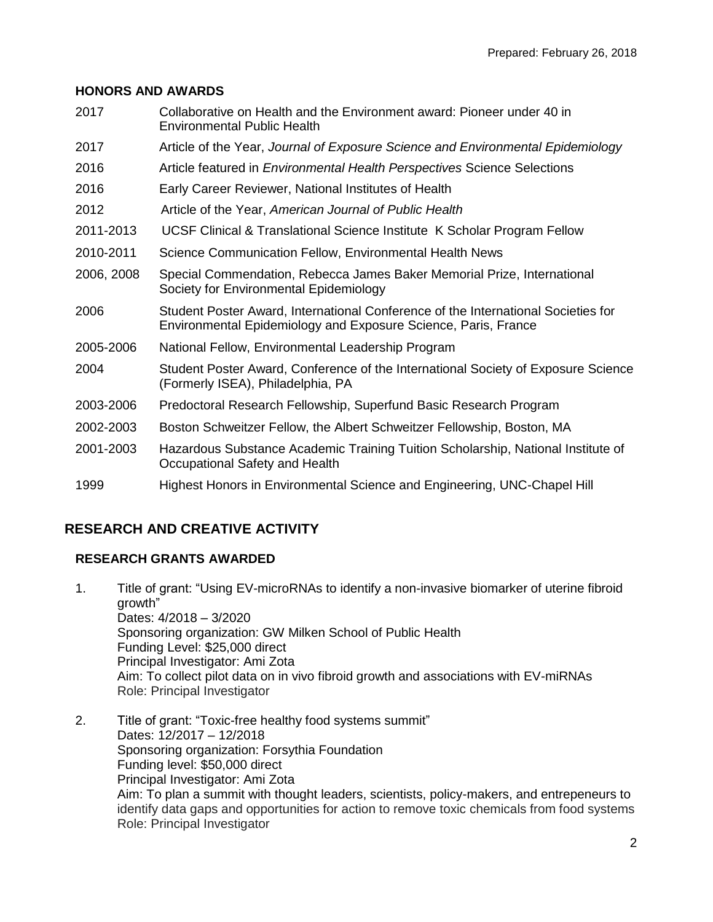# **HONORS AND AWARDS**

| 2017       | Collaborative on Health and the Environment award: Pioneer under 40 in<br><b>Environmental Public Health</b>                                        |  |
|------------|-----------------------------------------------------------------------------------------------------------------------------------------------------|--|
| 2017       | Article of the Year, Journal of Exposure Science and Environmental Epidemiology                                                                     |  |
| 2016       | Article featured in <i>Environmental Health Perspectives</i> Science Selections                                                                     |  |
| 2016       | Early Career Reviewer, National Institutes of Health                                                                                                |  |
| 2012       | Article of the Year, American Journal of Public Health                                                                                              |  |
| 2011-2013  | UCSF Clinical & Translational Science Institute K Scholar Program Fellow                                                                            |  |
| 2010-2011  | Science Communication Fellow, Environmental Health News                                                                                             |  |
| 2006, 2008 | Special Commendation, Rebecca James Baker Memorial Prize, International<br>Society for Environmental Epidemiology                                   |  |
| 2006       | Student Poster Award, International Conference of the International Societies for<br>Environmental Epidemiology and Exposure Science, Paris, France |  |
| 2005-2006  | National Fellow, Environmental Leadership Program                                                                                                   |  |
| 2004       | Student Poster Award, Conference of the International Society of Exposure Science<br>(Formerly ISEA), Philadelphia, PA                              |  |
| 2003-2006  | Predoctoral Research Fellowship, Superfund Basic Research Program                                                                                   |  |
| 2002-2003  | Boston Schweitzer Fellow, the Albert Schweitzer Fellowship, Boston, MA                                                                              |  |
| 2001-2003  | Hazardous Substance Academic Training Tuition Scholarship, National Institute of<br>Occupational Safety and Health                                  |  |
| 1999       | Highest Honors in Environmental Science and Engineering, UNC-Chapel Hill                                                                            |  |

# **RESEARCH AND CREATIVE ACTIVITY**

# **RESEARCH GRANTS AWARDED**

- 1. Title of grant: "Using EV-microRNAs to identify a non-invasive biomarker of uterine fibroid growth" Dates: 4/2018 – 3/2020 Sponsoring organization: GW Milken School of Public Health Funding Level: \$25,000 direct Principal Investigator: Ami Zota Aim: To collect pilot data on in vivo fibroid growth and associations with EV-miRNAs Role: Principal Investigator
- 2. Title of grant: "Toxic-free healthy food systems summit" Dates: 12/2017 – 12/2018 Sponsoring organization: Forsythia Foundation Funding level: \$50,000 direct Principal Investigator: Ami Zota Aim: To plan a summit with thought leaders, scientists, policy-makers, and entrepeneurs to identify data gaps and opportunities for action to remove toxic chemicals from food systems Role: Principal Investigator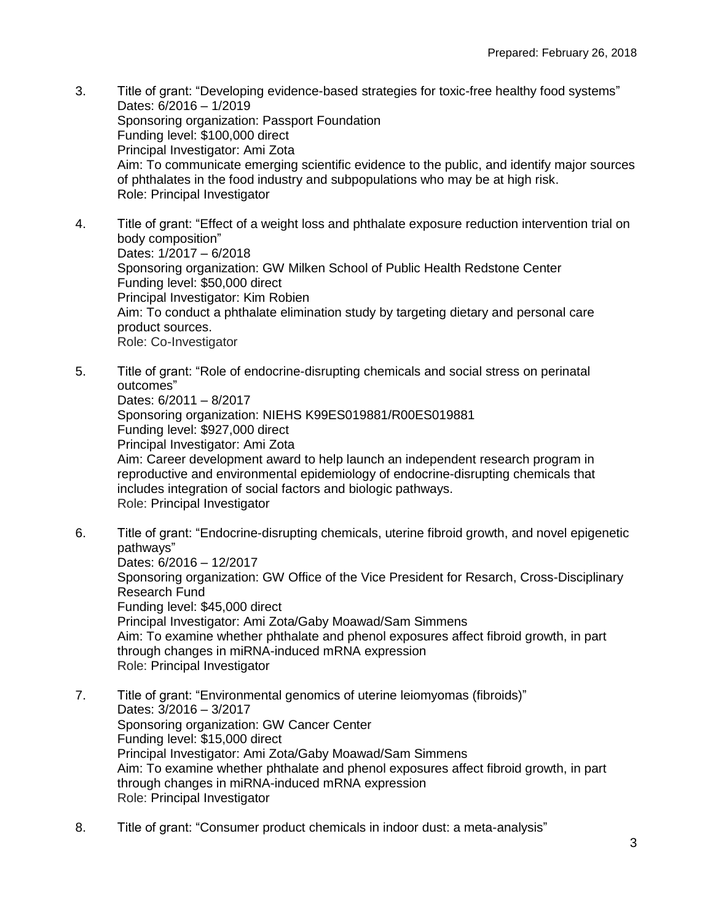- 3. Title of grant: "Developing evidence-based strategies for toxic-free healthy food systems" Dates: 6/2016 – 1/2019 Sponsoring organization: Passport Foundation Funding level: \$100,000 direct Principal Investigator: Ami Zota Aim: To communicate emerging scientific evidence to the public, and identify major sources of phthalates in the food industry and subpopulations who may be at high risk. Role: Principal Investigator
- 4. Title of grant: "Effect of a weight loss and phthalate exposure reduction intervention trial on body composition" Dates: 1/2017 – 6/2018 Sponsoring organization: GW Milken School of Public Health Redstone Center Funding level: \$50,000 direct Principal Investigator: Kim Robien Aim: To conduct a phthalate elimination study by targeting dietary and personal care product sources. Role: Co-Investigator
- 5. Title of grant: "Role of endocrine-disrupting chemicals and social stress on perinatal outcomes" Dates: 6/2011 – 8/2017 Sponsoring organization: NIEHS K99ES019881/R00ES019881 Funding level: \$927,000 direct Principal Investigator: Ami Zota Aim: Career development award to help launch an independent research program in reproductive and environmental epidemiology of endocrine-disrupting chemicals that includes integration of social factors and biologic pathways.
	- Role: Principal Investigator
- 6. Title of grant: "Endocrine-disrupting chemicals, uterine fibroid growth, and novel epigenetic pathways" Dates: 6/2016 – 12/2017 Sponsoring organization: GW Office of the Vice President for Resarch, Cross-Disciplinary Research Fund Funding level: \$45,000 direct Principal Investigator: Ami Zota/Gaby Moawad/Sam Simmens Aim: To examine whether phthalate and phenol exposures affect fibroid growth, in part through changes in miRNA-induced mRNA expression Role: Principal Investigator
- 7. Title of grant: "Environmental genomics of uterine leiomyomas (fibroids)" Dates: 3/2016 – 3/2017 Sponsoring organization: GW Cancer Center Funding level: \$15,000 direct Principal Investigator: Ami Zota/Gaby Moawad/Sam Simmens Aim: To examine whether phthalate and phenol exposures affect fibroid growth, in part through changes in miRNA-induced mRNA expression Role: Principal Investigator
- 8. Title of grant: "Consumer product chemicals in indoor dust: a meta-analysis"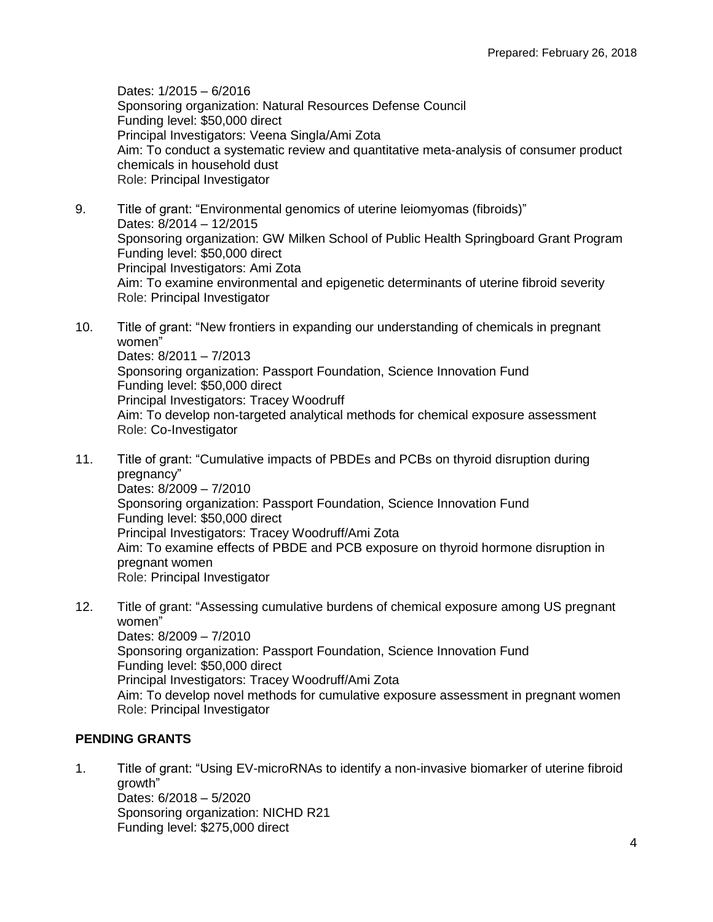Dates: 1/2015 – 6/2016 Sponsoring organization: Natural Resources Defense Council Funding level: \$50,000 direct Principal Investigators: Veena Singla/Ami Zota Aim: To conduct a systematic review and quantitative meta-analysis of consumer product chemicals in household dust Role: Principal Investigator

- 9. Title of grant: "Environmental genomics of uterine leiomyomas (fibroids)" Dates: 8/2014 – 12/2015 Sponsoring organization: GW Milken School of Public Health Springboard Grant Program Funding level: \$50,000 direct Principal Investigators: Ami Zota Aim: To examine environmental and epigenetic determinants of uterine fibroid severity Role: Principal Investigator
- 10. Title of grant: "New frontiers in expanding our understanding of chemicals in pregnant women" Dates: 8/2011 – 7/2013 Sponsoring organization: Passport Foundation, Science Innovation Fund Funding level: \$50,000 direct Principal Investigators: Tracey Woodruff Aim: To develop non-targeted analytical methods for chemical exposure assessment Role: Co-Investigator
- 11. Title of grant: "Cumulative impacts of PBDEs and PCBs on thyroid disruption during pregnancy" Dates: 8/2009 – 7/2010 Sponsoring organization: Passport Foundation, Science Innovation Fund Funding level: \$50,000 direct Principal Investigators: Tracey Woodruff/Ami Zota Aim: To examine effects of PBDE and PCB exposure on thyroid hormone disruption in pregnant women Role: Principal Investigator
- 12. Title of grant: "Assessing cumulative burdens of chemical exposure among US pregnant women" Dates: 8/2009 – 7/2010 Sponsoring organization: Passport Foundation, Science Innovation Fund Funding level: \$50,000 direct Principal Investigators: Tracey Woodruff/Ami Zota Aim: To develop novel methods for cumulative exposure assessment in pregnant women Role: Principal Investigator

# **PENDING GRANTS**

1. Title of grant: "Using EV-microRNAs to identify a non-invasive biomarker of uterine fibroid growth" Dates: 6/2018 – 5/2020 Sponsoring organization: NICHD R21 Funding level: \$275,000 direct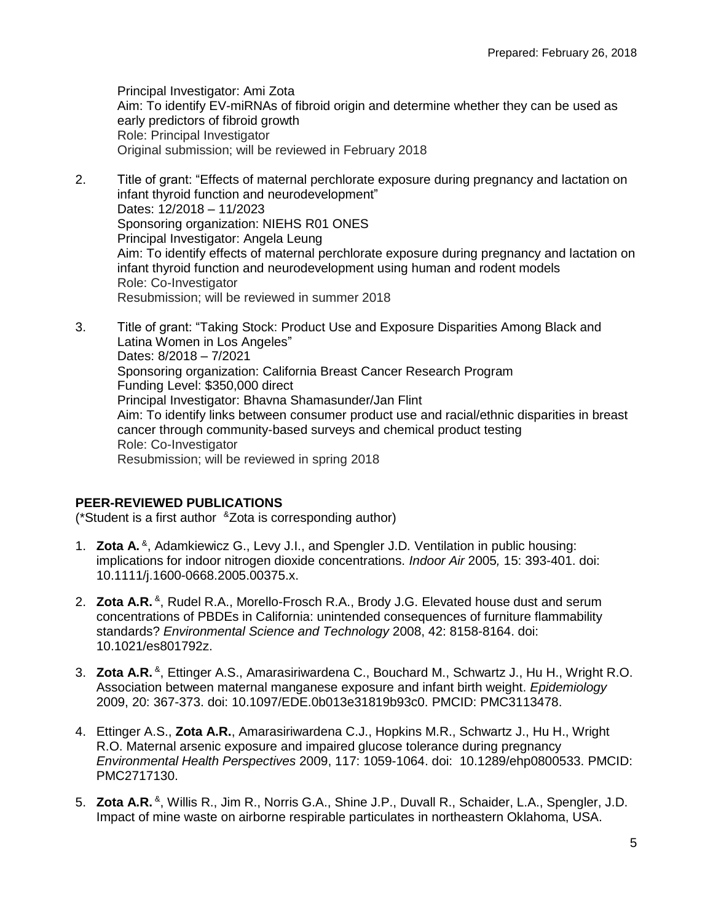Principal Investigator: Ami Zota Aim: To identify EV-miRNAs of fibroid origin and determine whether they can be used as early predictors of fibroid growth Role: Principal Investigator Original submission; will be reviewed in February 2018

2. Title of grant: "Effects of maternal perchlorate exposure during pregnancy and lactation on infant thyroid function and neurodevelopment" Dates: 12/2018 – 11/2023 Sponsoring organization: NIEHS R01 ONES Principal Investigator: Angela Leung Aim: To identify effects of maternal perchlorate exposure during pregnancy and lactation on infant thyroid function and neurodevelopment using human and rodent models Role: Co-Investigator Resubmission; will be reviewed in summer 2018

3. Title of grant: "Taking Stock: Product Use and Exposure Disparities Among Black and Latina Women in Los Angeles" Dates: 8/2018 – 7/2021 Sponsoring organization: California Breast Cancer Research Program Funding Level: \$350,000 direct Principal Investigator: Bhavna Shamasunder/Jan Flint Aim: To identify links between consumer product use and racial/ethnic disparities in breast cancer through community-based surveys and chemical product testing Role: Co-Investigator Resubmission; will be reviewed in spring 2018

### **PEER-REVIEWED PUBLICATIONS**

(\*Student is a first author &Zota is corresponding author)

- 1. **Zota A.** & , Adamkiewicz G., Levy J.I., and Spengler J.D*.* Ventilation in public housing: implications for indoor nitrogen dioxide concentrations. *Indoor Air* 2005*,* 15: 393-401. doi: 10.1111/j.1600-0668.2005.00375.x.
- 2. **Zota A.R.**<sup>&</sup>, Rudel R.A., Morello-Frosch R.A., Brody J.G. Elevated house dust and serum concentrations of PBDEs in California: unintended consequences of furniture flammability standards? *Environmental Science and Technology* 2008, 42: 8158-8164. doi: 10.1021/es801792z.
- 3. **Zota A.R.**<sup>&</sup>, Ettinger A.S., Amarasiriwardena C., Bouchard M., Schwartz J., Hu H., Wright R.O. Association between maternal manganese exposure and infant birth weight. *Epidemiology* 2009, 20: 367-373. doi: 10.1097/EDE.0b013e31819b93c0. PMCID: PMC3113478.
- 4. Ettinger A.S., **Zota A.R.**, Amarasiriwardena C.J., Hopkins M.R., Schwartz J., Hu H., Wright R.O. Maternal arsenic exposure and impaired glucose tolerance during pregnancy *Environmental Health Perspectives* 2009, 117: 1059-1064. doi: 10.1289/ehp0800533. PMCID: PMC2717130.
- 5. **Zota A.R.** & , Willis R., Jim R., Norris G.A., Shine J.P., Duvall R., Schaider, L.A., Spengler, J.D. Impact of mine waste on airborne respirable particulates in northeastern Oklahoma, USA.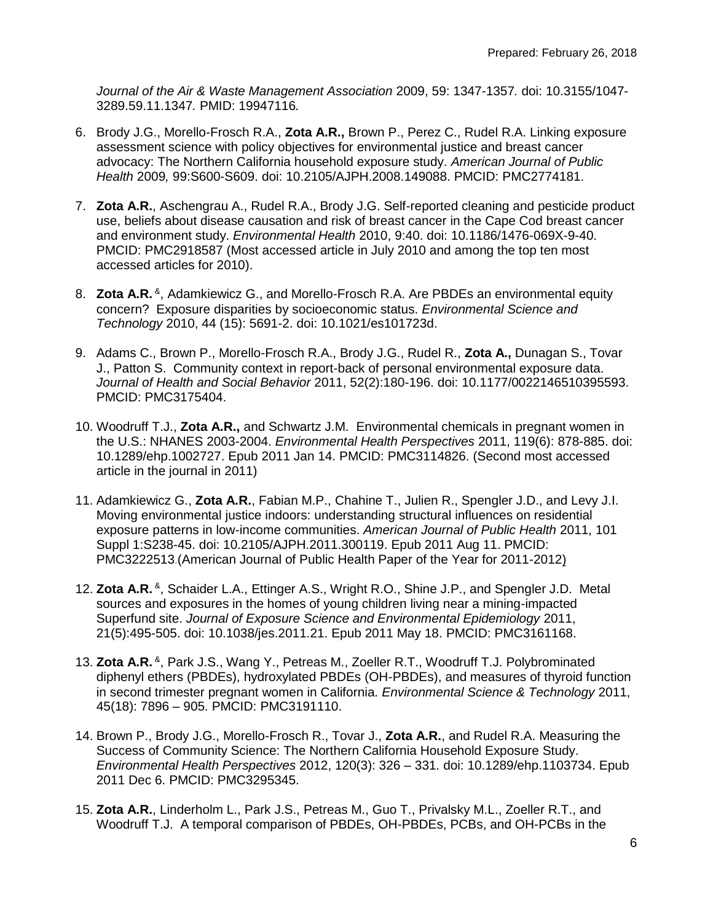*Journal of the Air & Waste Management Association* 2009, 59: 1347-1357*.* doi: 10.3155/1047- 3289.59.11.1347*.* PMID: 19947116*.*

- 6. Brody J.G., Morello-Frosch R.A., **Zota A.R.,** Brown P., Perez C., Rudel R.A. Linking exposure assessment science with policy objectives for environmental justice and breast cancer advocacy: The Northern California household exposure study. *American Journal of Public Health* 2009*,* 99:S600-S609. doi: 10.2105/AJPH.2008.149088. PMCID: PMC2774181.
- 7. **Zota A.R.**, Aschengrau A., Rudel R.A., Brody J.G. Self-reported cleaning and pesticide product use, beliefs about disease causation and risk of breast cancer in the Cape Cod breast cancer and environment study. *Environmental Health* 2010, 9:40. doi: 10.1186/1476-069X-9-40. PMCID: PMC2918587 (Most accessed article in July 2010 and among the top ten most accessed articles for 2010).
- 8. **Zota A.R.**<sup>&</sup>, Adamkiewicz G., and Morello-Frosch R.A. Are PBDEs an environmental equity concern? Exposure disparities by socioeconomic status. *Environmental Science and Technology* 2010, 44 (15): 5691-2. doi: 10.1021/es101723d.
- 9. Adams C., Brown P., Morello-Frosch R.A., Brody J.G., Rudel R., **Zota A.,** Dunagan S., Tovar J., Patton S. Community context in report-back of personal environmental exposure data. *Journal of Health and Social Behavior* 2011, 52(2):180-196. doi: 10.1177/0022146510395593. PMCID: PMC3175404.
- 10. Woodruff T.J., **Zota A.R.,** and Schwartz J.M. Environmental chemicals in pregnant women in the U.S.: NHANES 2003-2004. *Environmental Health Perspectives* 2011, 119(6): 878-885. doi: 10.1289/ehp.1002727. Epub 2011 Jan 14. PMCID: PMC3114826. (Second most accessed article in the journal in 2011)
- 11. Adamkiewicz G., **Zota A.R.**, Fabian M.P., Chahine T., Julien R., Spengler J.D., and Levy J.I. Moving environmental justice indoors: understanding structural influences on residential exposure patterns in low-income communities. *American Journal of Public Health* 2011, 101 Suppl 1:S238-45. doi: 10.2105/AJPH.2011.300119. Epub 2011 Aug 11. PMCID: PMC3222513.(American Journal of Public Health Paper of the Year for 2011-2012)
- 12. Zota A.R.<sup>&</sup>, Schaider L.A., Ettinger A.S., Wright R.O., Shine J.P., and Spengler J.D. Metal sources and exposures in the homes of young children living near a mining-impacted Superfund site. *Journal of Exposure Science and Environmental Epidemiology* 2011, 21(5):495-505. doi: 10.1038/jes.2011.21. Epub 2011 May 18. PMCID: PMC3161168.
- 13. Zota A.R.<sup>&</sup>, Park J.S., Wang Y., Petreas M., Zoeller R.T., Woodruff T.J. Polybrominated diphenyl ethers (PBDEs), hydroxylated PBDEs (OH-PBDEs), and measures of thyroid function in second trimester pregnant women in California. *Environmental Science & Technology* 2011, 45(18): 7896 – 905. PMCID: PMC3191110.
- 14. Brown P., Brody J.G., Morello-Frosch R., Tovar J., **Zota A.R.**, and Rudel R.A. Measuring the Success of Community Science: The Northern California Household Exposure Study. *Environmental Health Perspectives* 2012, 120(3): 326 – 331. doi: 10.1289/ehp.1103734. Epub 2011 Dec 6. PMCID: PMC3295345.
- 15. **Zota A.R.**, Linderholm L., Park J.S., Petreas M., Guo T., Privalsky M.L., Zoeller R.T., and Woodruff T.J. A temporal comparison of PBDEs, OH-PBDEs, PCBs, and OH-PCBs in the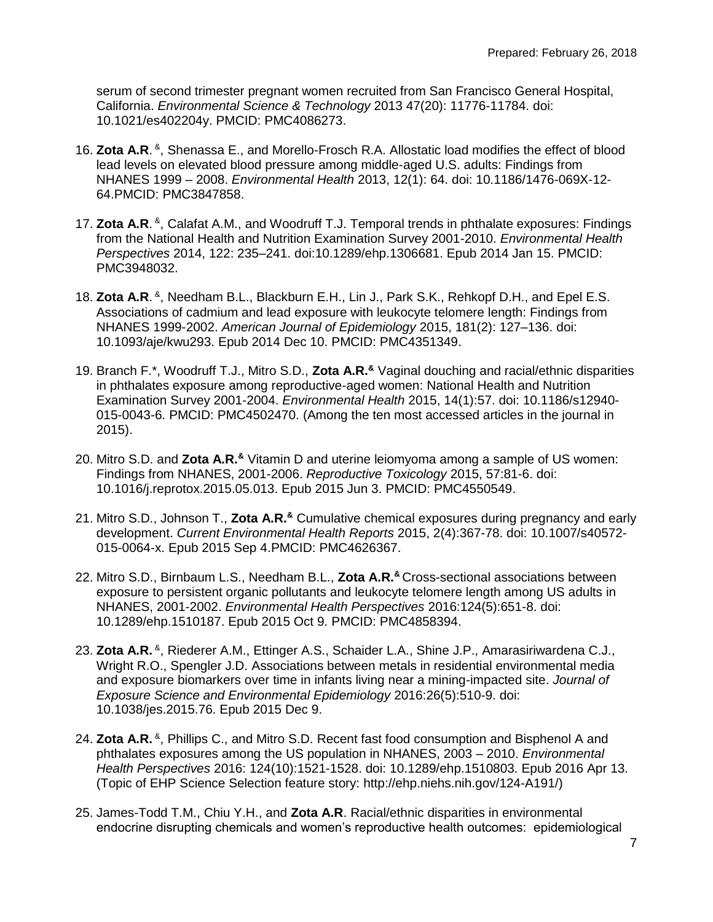serum of second trimester pregnant women recruited from San Francisco General Hospital, California. *Environmental Science & Technology* 2013 47(20): 11776-11784. doi: 10.1021/es402204y. PMCID: PMC4086273.

- 16. **Zota A.R**. & , Shenassa E., and Morello-Frosch R.A. Allostatic load modifies the effect of blood lead levels on elevated blood pressure among middle-aged U.S. adults: Findings from NHANES 1999 – 2008. *Environmental Health* 2013, 12(1): 64. doi: 10.1186/1476-069X-12- 64.PMCID: PMC3847858.
- 17. Zota A.R.<sup>&</sup>, Calafat A.M., and Woodruff T.J. Temporal trends in phthalate exposures: Findings from the National Health and Nutrition Examination Survey 2001-2010. *Environmental Health Perspectives* 2014, 122: 235–241. doi:10.1289/ehp.1306681. Epub 2014 Jan 15. PMCID: PMC3948032.
- 18. Zota A.R.<sup>&</sup>, Needham B.L., Blackburn E.H., Lin J., Park S.K., Rehkopf D.H., and Epel E.S. Associations of cadmium and lead exposure with leukocyte telomere length: Findings from NHANES 1999-2002. *American Journal of Epidemiology* 2015, 181(2): 127–136. doi: 10.1093/aje/kwu293. Epub 2014 Dec 10. PMCID: PMC4351349.
- 19. Branch F.\*, Woodruff T.J., Mitro S.D., **Zota A.R.&** Vaginal douching and racial/ethnic disparities in phthalates exposure among reproductive-aged women: National Health and Nutrition Examination Survey 2001-2004. *Environmental Health* 2015, 14(1):57. doi: 10.1186/s12940- 015-0043-6. PMCID: PMC4502470. (Among the ten most accessed articles in the journal in 2015).
- 20. Mitro S.D. and **Zota A.R.&** Vitamin D and uterine leiomyoma among a sample of US women: Findings from NHANES, 2001-2006. *Reproductive Toxicology* 2015, 57:81-6. doi: 10.1016/j.reprotox.2015.05.013. Epub 2015 Jun 3. PMCID: PMC4550549.
- 21. Mitro S.D., Johnson T., **Zota A.R.&** Cumulative chemical exposures during pregnancy and early development. *Current Environmental Health Reports* 2015, 2(4):367-78. doi: 10.1007/s40572- 015-0064-x. Epub 2015 Sep 4.PMCID: PMC4626367.
- 22. Mitro S.D., Birnbaum L.S., Needham B.L., **Zota A.R.&** Cross-sectional associations between exposure to persistent organic pollutants and leukocyte telomere length among US adults in NHANES, 2001-2002. *Environmental Health Perspectives* 2016:124(5):651-8. doi: 10.1289/ehp.1510187. Epub 2015 Oct 9. PMCID: PMC4858394.
- 23. Zota A.R. <sup>&</sup>, Riederer A.M., Ettinger A.S., Schaider L.A., Shine J.P., Amarasiriwardena C.J., Wright R.O., Spengler J.D. Associations between metals in residential environmental media and exposure biomarkers over time in infants living near a mining-impacted site. *Journal of Exposure Science and Environmental Epidemiology* 2016:26(5):510-9. doi: 10.1038/jes.2015.76. Epub 2015 Dec 9.
- 24. Zota A.R.<sup>&</sup>, Phillips C., and Mitro S.D. Recent fast food consumption and Bisphenol A and phthalates exposures among the US population in NHANES, 2003 – 2010. *Environmental Health Perspectives* 2016: 124(10):1521-1528. doi: 10.1289/ehp.1510803. Epub 2016 Apr 13. (Topic of EHP Science Selection feature story: http://ehp.niehs.nih.gov/124-A191/)
- 25. James-Todd T.M., Chiu Y.H., and **Zota A.R**. Racial/ethnic disparities in environmental endocrine disrupting chemicals and women's reproductive health outcomes: epidemiological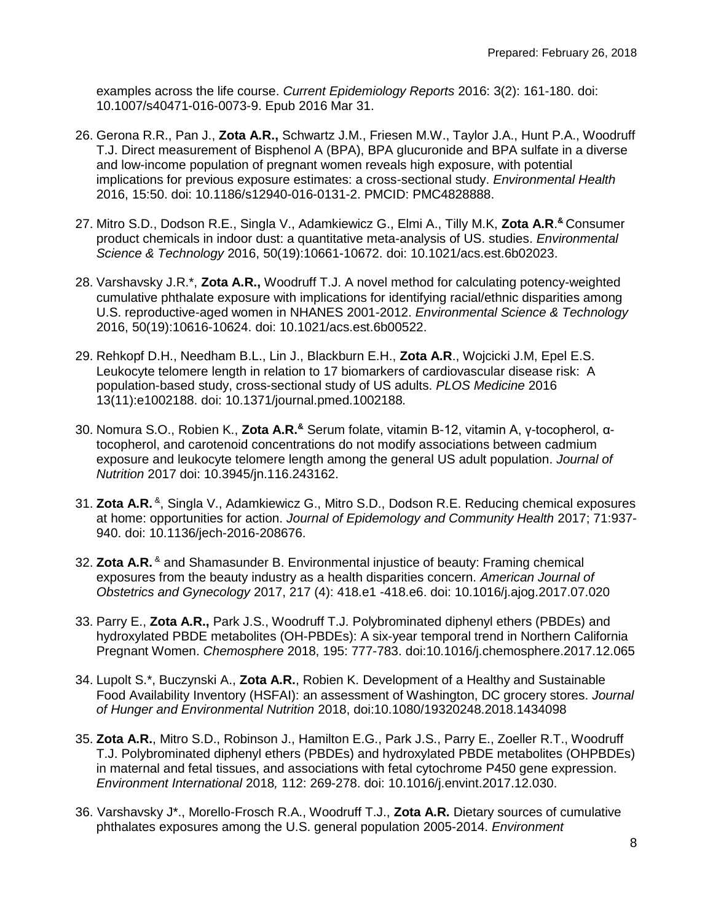examples across the life course. *Current Epidemiology Reports* 2016: 3(2): 161-180. doi: 10.1007/s40471-016-0073-9. Epub 2016 Mar 31.

- 26. Gerona R.R., Pan J., **Zota A.R.,** Schwartz J.M., Friesen M.W., Taylor J.A., Hunt P.A., Woodruff T.J. Direct measurement of Bisphenol A (BPA), BPA glucuronide and BPA sulfate in a diverse and low-income population of pregnant women reveals high exposure, with potential implications for previous exposure estimates: a cross-sectional study. *Environmental Health* 2016, 15:50. doi: 10.1186/s12940-016-0131-2. PMCID: PMC4828888.
- 27. Mitro S.D., Dodson R.E., Singla V., Adamkiewicz G., Elmi A., Tilly M.K, **Zota A.R**. **&** Consumer product chemicals in indoor dust: a quantitative meta-analysis of US. studies. *Environmental Science & Technology* 2016, 50(19):10661-10672. doi: 10.1021/acs.est.6b02023.
- 28. Varshavsky J.R.\*, **Zota A.R.,** Woodruff T.J. A novel method for calculating potency-weighted cumulative phthalate exposure with implications for identifying racial/ethnic disparities among U.S. reproductive-aged women in NHANES 2001-2012. *Environmental Science & Technology* 2016, 50(19):10616-10624. doi: 10.1021/acs.est.6b00522.
- 29. Rehkopf D.H., Needham B.L., Lin J., Blackburn E.H., **Zota A.R**., Wojcicki J.M, Epel E.S. Leukocyte telomere length in relation to 17 biomarkers of cardiovascular disease risk: A population-based study, cross-sectional study of US adults. *PLOS Medicine* 2016 13(11):e1002188. doi: 10.1371/journal.pmed.1002188*.*
- 30. Nomura S.O., Robien K., **Zota A.R.&** Serum folate, vitamin B-12, vitamin A, γ-tocopherol, αtocopherol, and carotenoid concentrations do not modify associations between cadmium exposure and leukocyte telomere length among the general US adult population. *Journal of Nutrition* 2017 doi: 10.3945/jn.116.243162.
- 31. Zota A.R.<sup>&</sup>, Singla V., Adamkiewicz G., Mitro S.D., Dodson R.E. Reducing chemical exposures at home: opportunities for action. *Journal of Epidemology and Community Health* 2017; 71:937- 940. doi: 10.1136/jech-2016-208676.
- 32. **Zota A.R.** & and Shamasunder B. Environmental injustice of beauty: Framing chemical exposures from the beauty industry as a health disparities concern. *American Journal of Obstetrics and Gynecology* 2017, 217 (4): 418.e1 -418.e6. doi: 10.1016/j.ajog.2017.07.020
- 33. Parry E., **Zota A.R.,** Park J.S., Woodruff T.J. Polybrominated diphenyl ethers (PBDEs) and hydroxylated PBDE metabolites (OH-PBDEs): A six-year temporal trend in Northern California Pregnant Women. *Chemosphere* 2018, 195: 777-783. doi:10.1016/j.chemosphere.2017.12.065
- 34. Lupolt S.\*, Buczynski A., **Zota A.R.**, Robien K. Development of a Healthy and Sustainable Food Availability Inventory (HSFAI): an assessment of Washington, DC grocery stores. *Journal of Hunger and Environmental Nutrition* 2018, doi:10.1080/19320248.2018.1434098
- 35. **Zota A.R.**, Mitro S.D., Robinson J., Hamilton E.G., Park J.S., Parry E., Zoeller R.T., Woodruff T.J. Polybrominated diphenyl ethers (PBDEs) and hydroxylated PBDE metabolites (OHPBDEs) in maternal and fetal tissues, and associations with fetal cytochrome P450 gene expression. *Environment International* 2018*,* 112: 269-278. doi: 10.1016/j.envint.2017.12.030.
- 36. Varshavsky J\*., Morello-Frosch R.A., Woodruff T.J., **Zota A.R.** Dietary sources of cumulative phthalates exposures among the U.S. general population 2005-2014. *Environment*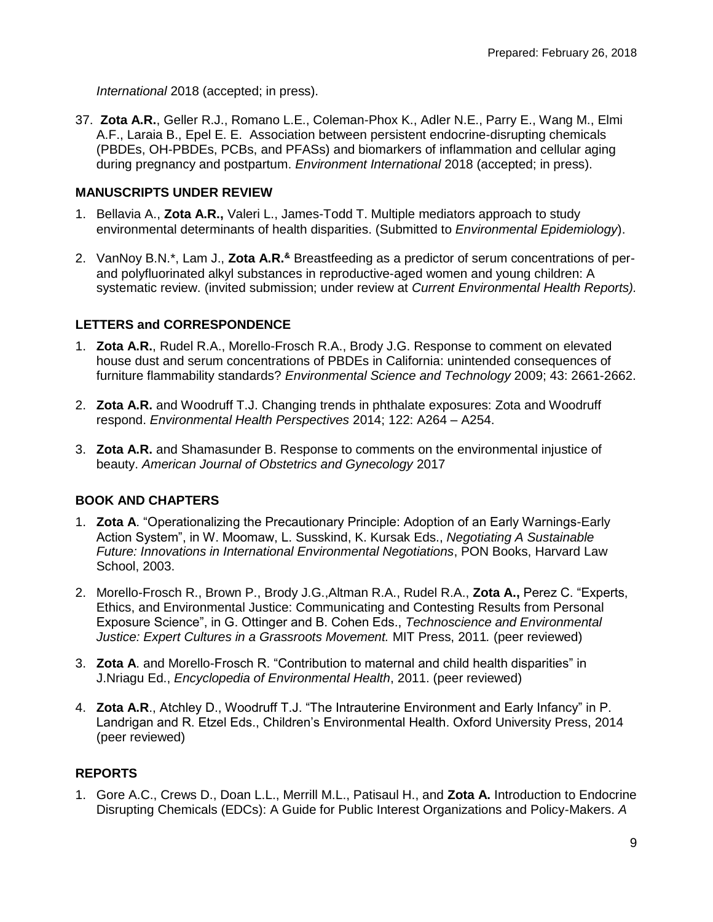*International* 2018 (accepted; in press).

37. **Zota A.R.**, Geller R.J., Romano L.E., Coleman-Phox K., Adler N.E., Parry E., Wang M., Elmi A.F., Laraia B., Epel E. E. Association between persistent endocrine-disrupting chemicals (PBDEs, OH-PBDEs, PCBs, and PFASs) and biomarkers of inflammation and cellular aging during pregnancy and postpartum. *Environment International* 2018 (accepted; in press).

# **MANUSCRIPTS UNDER REVIEW**

- 1. Bellavia A., **Zota A.R.,** Valeri L., James-Todd T. Multiple mediators approach to study environmental determinants of health disparities. (Submitted to *Environmental Epidemiology*).
- 2. VanNoy B.N.\*, Lam J., **Zota A.R.&** Breastfeeding as a predictor of serum concentrations of perand polyfluorinated alkyl substances in reproductive-aged women and young children: A systematic review. (invited submission; under review at *Current Environmental Health Reports).*

# **LETTERS and CORRESPONDENCE**

- 1. **Zota A.R.**, Rudel R.A., Morello-Frosch R.A., Brody J.G. Response to comment on elevated house dust and serum concentrations of PBDEs in California: unintended consequences of furniture flammability standards? *Environmental Science and Technology* 2009; 43: 2661-2662.
- 2. **Zota A.R.** and Woodruff T.J. Changing trends in phthalate exposures: Zota and Woodruff respond. *Environmental Health Perspectives* 2014; 122: A264 – A254.
- 3. **Zota A.R.** and Shamasunder B. Response to comments on the environmental injustice of beauty. *American Journal of Obstetrics and Gynecology* 2017

### **BOOK AND CHAPTERS**

- 1. **Zota A**. "Operationalizing the Precautionary Principle: Adoption of an Early Warnings-Early Action System", in W. Moomaw, L. Susskind, K. Kursak Eds., *Negotiating A Sustainable Future: Innovations in International Environmental Negotiations*, PON Books, Harvard Law School, 2003.
- 2. Morello-Frosch R., Brown P., Brody J.G.,Altman R.A., Rudel R.A., **Zota A.,** Perez C. "Experts, Ethics, and Environmental Justice: Communicating and Contesting Results from Personal Exposure Science", in G. Ottinger and B. Cohen Eds., *Technoscience and Environmental Justice: Expert Cultures in a Grassroots Movement.* MIT Press, 2011*.* (peer reviewed)
- 3. **Zota A**. and Morello-Frosch R. "Contribution to maternal and child health disparities" in J.Nriagu Ed., *Encyclopedia of Environmental Health*, 2011. (peer reviewed)
- 4. **Zota A.R**., Atchley D., Woodruff T.J. "The Intrauterine Environment and Early Infancy" in P. Landrigan and R. Etzel Eds., Children's Environmental Health. Oxford University Press, 2014 (peer reviewed)

### **REPORTS**

1. Gore A.C., Crews D., Doan L.L., Merrill M.L., Patisaul H., and **Zota A.** Introduction to Endocrine Disrupting Chemicals (EDCs): A Guide for Public Interest Organizations and Policy-Makers. *A*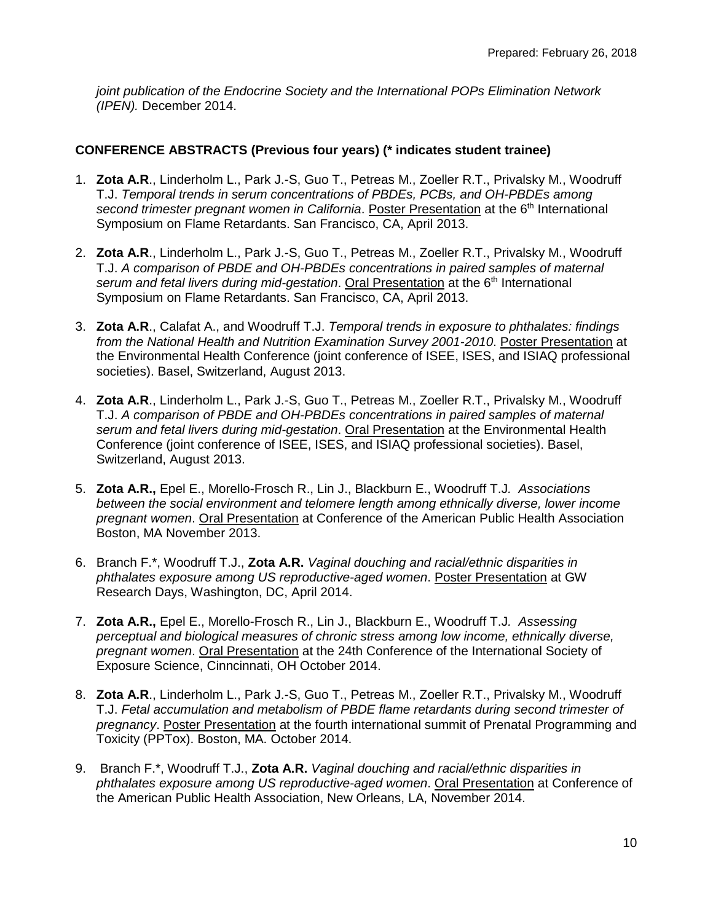*joint publication of the Endocrine Society and the International POPs Elimination Network (IPEN).* December 2014.

#### **CONFERENCE ABSTRACTS (Previous four years) (\* indicates student trainee)**

- 1. **Zota A.R**., Linderholm L., Park J.-S, Guo T., Petreas M., Zoeller R.T., Privalsky M., Woodruff T.J. *Temporal trends in serum concentrations of PBDEs, PCBs, and OH-PBDEs among*  second trimester pregnant women in California. Poster Presentation at the 6<sup>th</sup> International Symposium on Flame Retardants. San Francisco, CA, April 2013.
- 2. **Zota A.R**., Linderholm L., Park J.-S, Guo T., Petreas M., Zoeller R.T., Privalsky M., Woodruff T.J. *A comparison of PBDE and OH-PBDEs concentrations in paired samples of maternal*  serum and fetal livers during mid-gestation. Oral Presentation at the 6<sup>th</sup> International Symposium on Flame Retardants. San Francisco, CA, April 2013.
- 3. **Zota A.R**., Calafat A., and Woodruff T.J. *Temporal trends in exposure to phthalates: findings from the National Health and Nutrition Examination Survey 2001-2010*. Poster Presentation at the Environmental Health Conference (joint conference of ISEE, ISES, and ISIAQ professional societies). Basel, Switzerland, August 2013.
- 4. **Zota A.R**., Linderholm L., Park J.-S, Guo T., Petreas M., Zoeller R.T., Privalsky M., Woodruff T.J. *A comparison of PBDE and OH-PBDEs concentrations in paired samples of maternal serum and fetal livers during mid-gestation*. Oral Presentation at the Environmental Health Conference (joint conference of ISEE, ISES, and ISIAQ professional societies). Basel, Switzerland, August 2013.
- 5. **Zota A.R.,** Epel E., Morello-Frosch R., Lin J., Blackburn E., Woodruff T.J*. Associations between the social environment and telomere length among ethnically diverse, lower income pregnant women*. Oral Presentation at Conference of the American Public Health Association Boston, MA November 2013.
- 6. Branch F.\*, Woodruff T.J., **Zota A.R.** *Vaginal douching and racial/ethnic disparities in phthalates exposure among US reproductive-aged women*. Poster Presentation at GW Research Days, Washington, DC, April 2014.
- 7. **Zota A.R.,** Epel E., Morello-Frosch R., Lin J., Blackburn E., Woodruff T.J*. Assessing perceptual and biological measures of chronic stress among low income, ethnically diverse, pregnant women*. Oral Presentation at the 24th Conference of the International Society of Exposure Science, Cinncinnati, OH October 2014.
- 8. **Zota A.R**., Linderholm L., Park J.-S, Guo T., Petreas M., Zoeller R.T., Privalsky M., Woodruff T.J. *Fetal accumulation and metabolism of PBDE flame retardants during second trimester of pregnancy*. Poster Presentation at the fourth international summit of Prenatal Programming and Toxicity (PPTox). Boston, MA. October 2014.
- 9. Branch F.\*, Woodruff T.J., **Zota A.R.** *Vaginal douching and racial/ethnic disparities in phthalates exposure among US reproductive-aged women*. Oral Presentation at Conference of the American Public Health Association, New Orleans, LA, November 2014.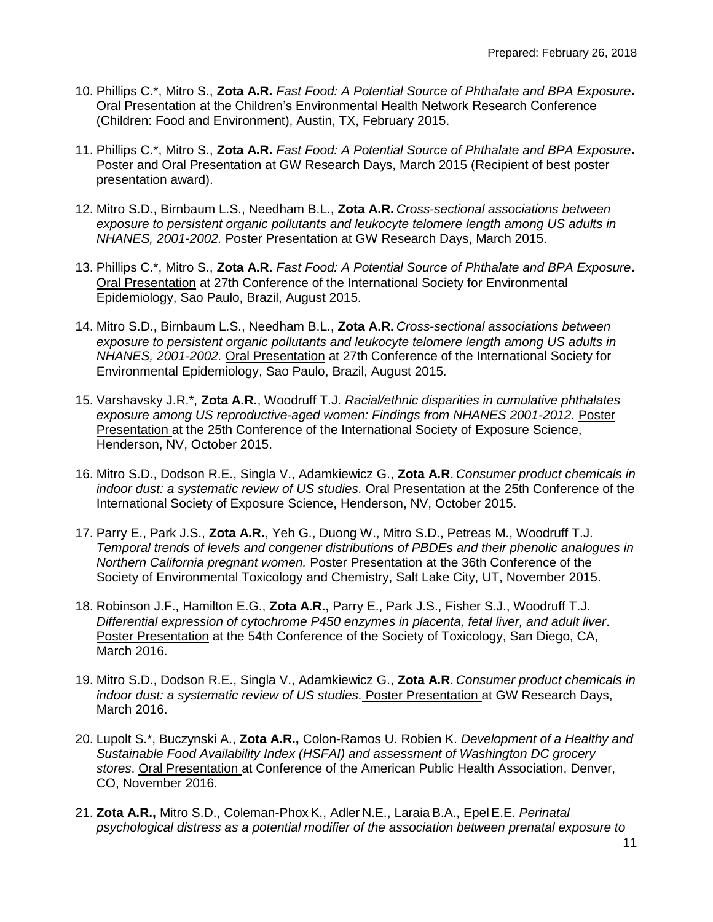- 10. Phillips C.\*, Mitro S., **Zota A.R.** *Fast Food: A Potential Source of Phthalate and BPA Exposure***.**  Oral Presentation at the Children's Environmental Health Network Research Conference (Children: Food and Environment), Austin, TX, February 2015.
- 11. Phillips C.\*, Mitro S., **Zota A.R.** *Fast Food: A Potential Source of Phthalate and BPA Exposure***.**  Poster and Oral Presentation at GW Research Days, March 2015 (Recipient of best poster presentation award).
- 12. Mitro S.D., Birnbaum L.S., Needham B.L., **Zota A.R.** *Cross-sectional associations between exposure to persistent organic pollutants and leukocyte telomere length among US adults in NHANES, 2001-2002.* Poster Presentation at GW Research Days, March 2015.
- 13. Phillips C.\*, Mitro S., **Zota A.R.** *Fast Food: A Potential Source of Phthalate and BPA Exposure***.**  Oral Presentation at 27th Conference of the International Society for Environmental Epidemiology, Sao Paulo, Brazil, August 2015.
- 14. Mitro S.D., Birnbaum L.S., Needham B.L., **Zota A.R.** *Cross-sectional associations between exposure to persistent organic pollutants and leukocyte telomere length among US adults in NHANES, 2001-2002.* Oral Presentation at 27th Conference of the International Society for Environmental Epidemiology, Sao Paulo, Brazil, August 2015.
- 15. Varshavsky J.R.\*, **Zota A.R.**, Woodruff T.J. *Racial/ethnic disparities in cumulative phthalates exposure among US reproductive-aged women: Findings from NHANES 2001-2012.* Poster Presentation at the 25th Conference of the International Society of Exposure Science, Henderson, NV, October 2015.
- 16. Mitro S.D., Dodson R.E., Singla V., Adamkiewicz G., **Zota A.R**. *Consumer product chemicals in indoor dust: a systematic review of US studies.* Oral Presentation at the 25th Conference of the International Society of Exposure Science, Henderson, NV, October 2015.
- 17. Parry E., Park J.S., **Zota A.R.**, Yeh G., Duong W., Mitro S.D., Petreas M., Woodruff T.J. *Temporal trends of levels and congener distributions of PBDEs and their phenolic analogues in Northern California pregnant women.* Poster Presentation at the 36th Conference of the Society of Environmental Toxicology and Chemistry, Salt Lake City, UT, November 2015.
- 18. Robinson J.F., Hamilton E.G., **Zota A.R.,** Parry E., Park J.S., Fisher S.J., Woodruff T.J. *Differential expression of cytochrome P450 enzymes in placenta, fetal liver, and adult liver*. Poster Presentation at the 54th Conference of the Society of Toxicology, San Diego, CA, March 2016.
- 19. Mitro S.D., Dodson R.E., Singla V., Adamkiewicz G., **Zota A.R**. *Consumer product chemicals in indoor dust: a systematic review of US studies.* Poster Presentation at GW Research Days, March 2016.
- 20. Lupolt S.\*, Buczynski A., **Zota A.R.,** Colon-Ramos U. Robien K. *Development of a Healthy and Sustainable Food Availability Index (HSFAI) and assessment of Washington DC grocery stores*. Oral Presentation at Conference of the American Public Health Association, Denver, CO, November 2016.
- 21. **Zota A.R.,** Mitro S.D., Coleman-PhoxK., Adler N.E., Laraia B.A., Epel E.E. *Perinatal psychological distress as a potential modifier of the association between prenatal exposure to*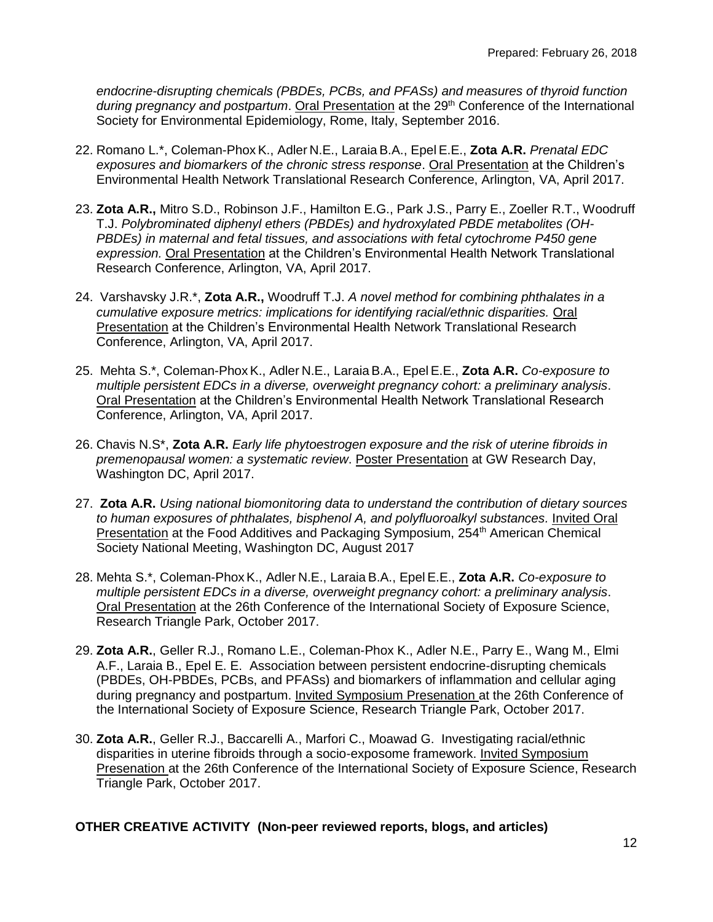*endocrine-disrupting chemicals (PBDEs, PCBs, and PFASs) and measures of thyroid function*  during pregnancy and postpartum. Oral Presentation at the 29<sup>th</sup> Conference of the International Society for Environmental Epidemiology, Rome, Italy, September 2016.

- 22. Romano L.\*, Coleman-PhoxK., Adler N.E., Laraia B.A., Epel E.E., **Zota A.R.** *Prenatal EDC exposures and biomarkers of the chronic stress response*. Oral Presentation at the Children's Environmental Health Network Translational Research Conference, Arlington, VA, April 2017.
- 23. **Zota A.R.,** Mitro S.D., Robinson J.F., Hamilton E.G., Park J.S., Parry E., Zoeller R.T., Woodruff T.J. *Polybrominated diphenyl ethers (PBDEs) and hydroxylated PBDE metabolites (OH-PBDEs) in maternal and fetal tissues, and associations with fetal cytochrome P450 gene expression.* Oral Presentation at the Children's Environmental Health Network Translational Research Conference, Arlington, VA, April 2017.
- 24. Varshavsky J.R.\*, **Zota A.R.,** Woodruff T.J. *A novel method for combining phthalates in a cumulative exposure metrics: implications for identifying racial/ethnic disparities.* Oral Presentation at the Children's Environmental Health Network Translational Research Conference, Arlington, VA, April 2017.
- 25. Mehta S.\*, Coleman-PhoxK., Adler N.E., LaraiaB.A., Epel E.E., **Zota A.R.** *Co-exposure to multiple persistent EDCs in a diverse, overweight pregnancy cohort: a preliminary analysis*. Oral Presentation at the Children's Environmental Health Network Translational Research Conference, Arlington, VA, April 2017.
- 26. Chavis N.S\*, **Zota A.R.** *Early life phytoestrogen exposure and the risk of uterine fibroids in premenopausal women: a systematic review*. Poster Presentation at GW Research Day, Washington DC, April 2017.
- 27. **Zota A.R.** *Using national biomonitoring data to understand the contribution of dietary sources to human exposures of phthalates, bisphenol A, and polyfluoroalkyl substances.* Invited Oral Presentation at the Food Additives and Packaging Symposium, 254<sup>th</sup> American Chemical Society National Meeting, Washington DC, August 2017
- 28. Mehta S.\*, Coleman-PhoxK., Adler N.E., Laraia B.A., Epel E.E., **Zota A.R.** *Co-exposure to multiple persistent EDCs in a diverse, overweight pregnancy cohort: a preliminary analysis*. Oral Presentation at the 26th Conference of the International Society of Exposure Science, Research Triangle Park, October 2017.
- 29. **Zota A.R.**, Geller R.J., Romano L.E., Coleman-Phox K., Adler N.E., Parry E., Wang M., Elmi A.F., Laraia B., Epel E. E. Association between persistent endocrine-disrupting chemicals (PBDEs, OH-PBDEs, PCBs, and PFASs) and biomarkers of inflammation and cellular aging during pregnancy and postpartum. Invited Symposium Presenation at the 26th Conference of the International Society of Exposure Science, Research Triangle Park, October 2017.
- 30. **Zota A.R.**, Geller R.J., Baccarelli A., Marfori C., Moawad G. Investigating racial/ethnic disparities in uterine fibroids through a socio-exposome framework. Invited Symposium Presenation at the 26th Conference of the International Society of Exposure Science, Research Triangle Park, October 2017.

### **OTHER CREATIVE ACTIVITY (Non-peer reviewed reports, blogs, and articles)**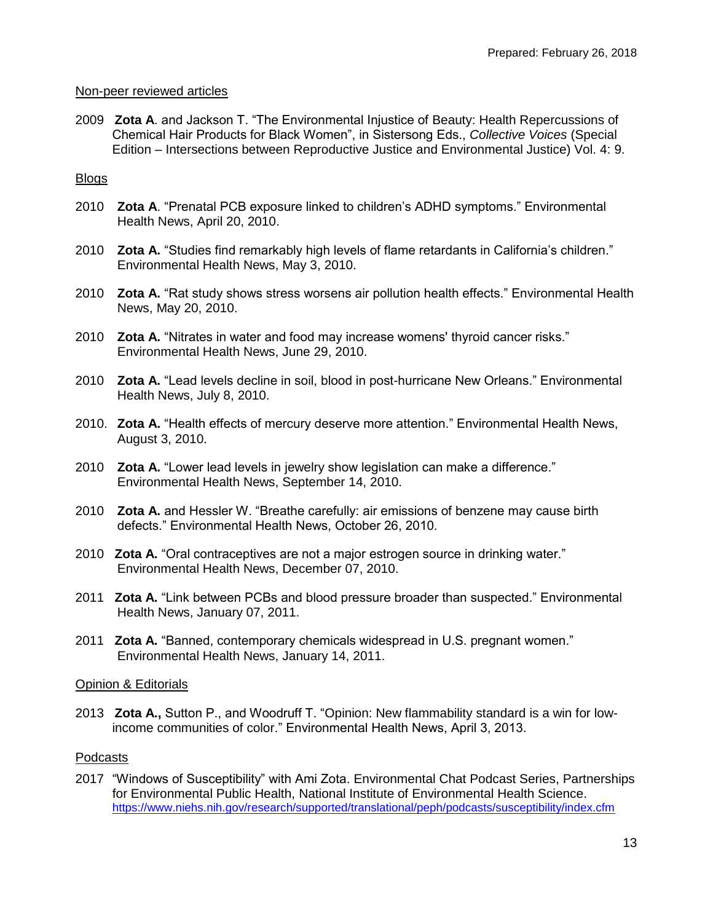#### Non-peer reviewed articles

2009 **Zota A**. and Jackson T. "The Environmental Injustice of Beauty: Health Repercussions of Chemical Hair Products for Black Women", in Sistersong Eds., *Collective Voices* (Special Edition – Intersections between Reproductive Justice and Environmental Justice) Vol. 4: 9.

#### **Blogs**

- 2010 **Zota A**. "Prenatal PCB exposure linked to children's ADHD symptoms." Environmental Health News, April 20, 2010.
- 2010 **Zota A.** "Studies find remarkably high levels of flame retardants in California's children." Environmental Health News, May 3, 2010.
- 2010 **Zota A.** "Rat study shows stress worsens air pollution health effects." Environmental Health News, May 20, 2010.
- 2010 **Zota A.** "Nitrates in water and food may increase womens' thyroid cancer risks." Environmental Health News, June 29, 2010.
- 2010 **Zota A.** "Lead levels decline in soil, blood in post-hurricane New Orleans." Environmental Health News, July 8, 2010.
- 2010. **Zota A.** "Health effects of mercury deserve more attention." Environmental Health News, August 3, 2010.
- 2010 **Zota A.** "Lower lead levels in jewelry show legislation can make a difference." Environmental Health News, September 14, 2010.
- 2010 **Zota A.** and Hessler W. "Breathe carefully: air emissions of benzene may cause birth defects." Environmental Health News, October 26, 2010.
- 2010 **Zota A.** "Oral contraceptives are not a major estrogen source in drinking water." Environmental Health News, December 07, 2010.
- 2011 **Zota A.** "Link between PCBs and blood pressure broader than suspected." Environmental Health News, January 07, 2011.
- 2011 **Zota A.** "Banned, contemporary chemicals widespread in U.S. pregnant women." Environmental Health News, January 14, 2011.

#### Opinion & Editorials

2013 **Zota A.,** Sutton P., and Woodruff T. "Opinion: New flammability standard is a win for lowincome communities of color." Environmental Health News, April 3, 2013.

#### Podcasts

2017 "Windows of Susceptibility" with Ami Zota. Environmental Chat Podcast Series, Partnerships for Environmental Public Health, National Institute of Environmental Health Science. <https://www.niehs.nih.gov/research/supported/translational/peph/podcasts/susceptibility/index.cfm>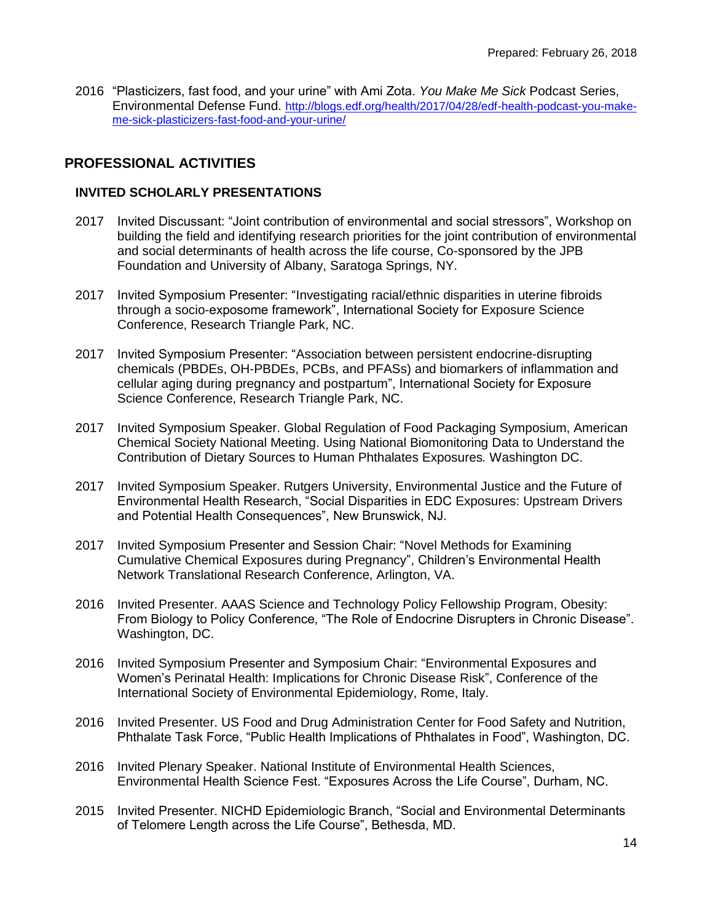2016 "Plasticizers, fast food, and your urine" with Ami Zota. *You Make Me Sick* Podcast Series, Environmental Defense Fund. [http://blogs.edf.org/health/2017/04/28/edf-health-podcast-you-make](http://blogs.edf.org/health/2017/04/28/edf-health-podcast-you-make-me-sick-plasticizers-fast-food-and-your-urine/)[me-sick-plasticizers-fast-food-and-your-urine/](http://blogs.edf.org/health/2017/04/28/edf-health-podcast-you-make-me-sick-plasticizers-fast-food-and-your-urine/)

# **PROFESSIONAL ACTIVITIES**

### **INVITED SCHOLARLY PRESENTATIONS**

- 2017 Invited Discussant: "Joint contribution of environmental and social stressors", Workshop on building the field and identifying research priorities for the joint contribution of environmental and social determinants of health across the life course, Co-sponsored by the JPB Foundation and University of Albany, Saratoga Springs, NY.
- 2017 Invited Symposium Presenter: "Investigating racial/ethnic disparities in uterine fibroids through a socio-exposome framework", International Society for Exposure Science Conference, Research Triangle Park, NC.
- 2017 Invited Symposium Presenter: "Association between persistent endocrine-disrupting chemicals (PBDEs, OH-PBDEs, PCBs, and PFASs) and biomarkers of inflammation and cellular aging during pregnancy and postpartum", International Society for Exposure Science Conference, Research Triangle Park, NC.
- 2017 Invited Symposium Speaker. Global Regulation of Food Packaging Symposium, American Chemical Society National Meeting. Using National Biomonitoring Data to Understand the Contribution of Dietary Sources to Human Phthalates Exposures*.* Washington DC.
- 2017 Invited Symposium Speaker. Rutgers University, Environmental Justice and the Future of Environmental Health Research, "Social Disparities in EDC Exposures: Upstream Drivers and Potential Health Consequences", New Brunswick, NJ.
- 2017 Invited Symposium Presenter and Session Chair: "Novel Methods for Examining Cumulative Chemical Exposures during Pregnancy", Children's Environmental Health Network Translational Research Conference, Arlington, VA.
- 2016 Invited Presenter. AAAS Science and Technology Policy Fellowship Program, Obesity: From Biology to Policy Conference, "The Role of Endocrine Disrupters in Chronic Disease". Washington, DC.
- 2016 Invited Symposium Presenter and Symposium Chair: "Environmental Exposures and Women's Perinatal Health: Implications for Chronic Disease Risk", Conference of the International Society of Environmental Epidemiology, Rome, Italy.
- 2016 Invited Presenter. US Food and Drug Administration Center for Food Safety and Nutrition, Phthalate Task Force, "Public Health Implications of Phthalates in Food", Washington, DC.
- 2016 Invited Plenary Speaker. National Institute of Environmental Health Sciences, Environmental Health Science Fest. "Exposures Across the Life Course", Durham, NC.
- 2015 Invited Presenter. NICHD Epidemiologic Branch, "Social and Environmental Determinants of Telomere Length across the Life Course", Bethesda, MD.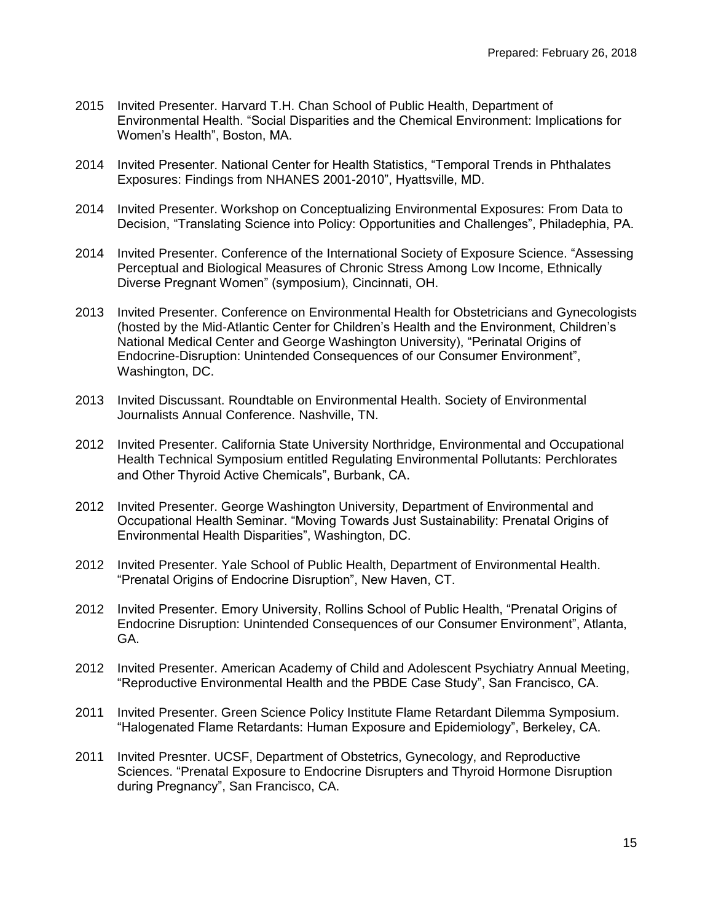- 2015 Invited Presenter. Harvard T.H. Chan School of Public Health, Department of Environmental Health. "Social Disparities and the Chemical Environment: Implications for Women's Health", Boston, MA.
- 2014 Invited Presenter. National Center for Health Statistics, "Temporal Trends in Phthalates Exposures: Findings from NHANES 2001-2010", Hyattsville, MD.
- 2014 Invited Presenter. Workshop on Conceptualizing Environmental Exposures: From Data to Decision, "Translating Science into Policy: Opportunities and Challenges", Philadephia, PA.
- 2014 Invited Presenter. Conference of the International Society of Exposure Science. "Assessing Perceptual and Biological Measures of Chronic Stress Among Low Income, Ethnically Diverse Pregnant Women" (symposium), Cincinnati, OH.
- 2013 Invited Presenter. Conference on Environmental Health for Obstetricians and Gynecologists (hosted by the Mid-Atlantic Center for Children's Health and the Environment, Children's National Medical Center and George Washington University), "Perinatal Origins of Endocrine-Disruption: Unintended Consequences of our Consumer Environment", Washington, DC.
- 2013 Invited Discussant. Roundtable on Environmental Health. Society of Environmental Journalists Annual Conference. Nashville, TN.
- 2012 Invited Presenter. California State University Northridge, Environmental and Occupational Health Technical Symposium entitled Regulating Environmental Pollutants: Perchlorates and Other Thyroid Active Chemicals", Burbank, CA.
- 2012 Invited Presenter. George Washington University, Department of Environmental and Occupational Health Seminar. "Moving Towards Just Sustainability: Prenatal Origins of Environmental Health Disparities", Washington, DC.
- 2012 Invited Presenter. Yale School of Public Health, Department of Environmental Health. "Prenatal Origins of Endocrine Disruption", New Haven, CT.
- 2012 Invited Presenter. Emory University, Rollins School of Public Health, "Prenatal Origins of Endocrine Disruption: Unintended Consequences of our Consumer Environment", Atlanta, GA.
- 2012 Invited Presenter. American Academy of Child and Adolescent Psychiatry Annual Meeting, "Reproductive Environmental Health and the PBDE Case Study", San Francisco, CA.
- 2011 Invited Presenter. Green Science Policy Institute Flame Retardant Dilemma Symposium. "Halogenated Flame Retardants: Human Exposure and Epidemiology", Berkeley, CA.
- 2011 Invited Presnter. UCSF, Department of Obstetrics, Gynecology, and Reproductive Sciences. "Prenatal Exposure to Endocrine Disrupters and Thyroid Hormone Disruption during Pregnancy", San Francisco, CA.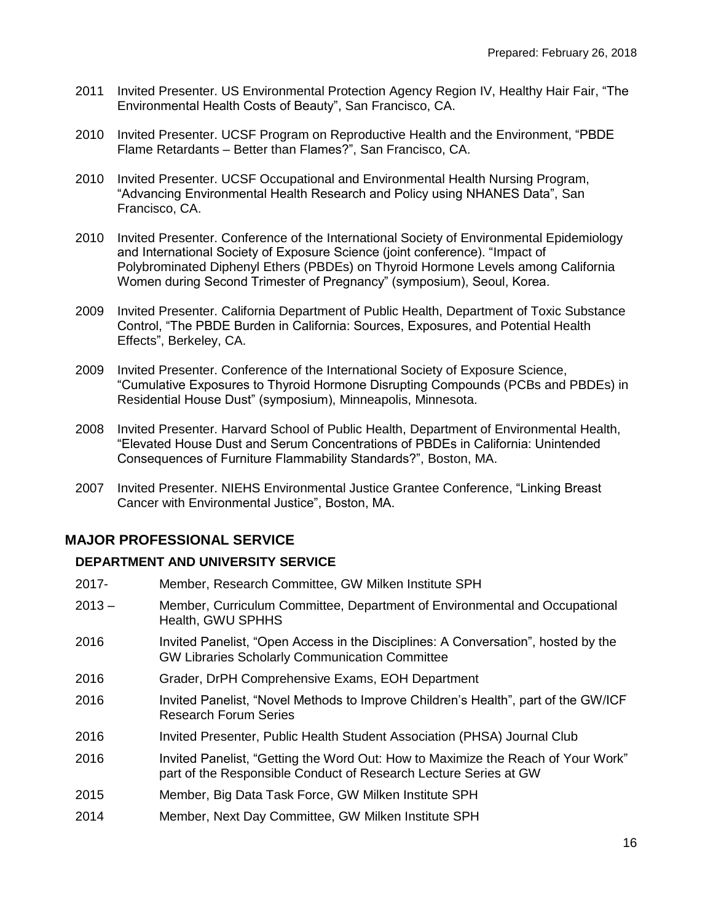- 2011 Invited Presenter. US Environmental Protection Agency Region IV, Healthy Hair Fair, "The Environmental Health Costs of Beauty", San Francisco, CA.
- 2010 Invited Presenter. UCSF Program on Reproductive Health and the Environment, "PBDE Flame Retardants – Better than Flames?", San Francisco, CA.
- 2010 Invited Presenter. UCSF Occupational and Environmental Health Nursing Program, "Advancing Environmental Health Research and Policy using NHANES Data", San Francisco, CA.
- 2010 Invited Presenter. Conference of the International Society of Environmental Epidemiology and International Society of Exposure Science (joint conference). "Impact of Polybrominated Diphenyl Ethers (PBDEs) on Thyroid Hormone Levels among California Women during Second Trimester of Pregnancy" (symposium), Seoul, Korea.
- 2009 Invited Presenter. California Department of Public Health, Department of Toxic Substance Control, "The PBDE Burden in California: Sources, Exposures, and Potential Health Effects", Berkeley, CA.
- 2009 Invited Presenter. Conference of the International Society of Exposure Science, "Cumulative Exposures to Thyroid Hormone Disrupting Compounds (PCBs and PBDEs) in Residential House Dust" (symposium), Minneapolis, Minnesota.
- 2008 Invited Presenter. Harvard School of Public Health, Department of Environmental Health, "Elevated House Dust and Serum Concentrations of PBDEs in California: Unintended Consequences of Furniture Flammability Standards?", Boston, MA.
- 2007 Invited Presenter. NIEHS Environmental Justice Grantee Conference, "Linking Breast Cancer with Environmental Justice", Boston, MA.

### **MAJOR PROFESSIONAL SERVICE**

#### **DEPARTMENT AND UNIVERSITY SERVICE**

- 2017- Member, Research Committee, GW Milken Institute SPH 2013 – Member, Curriculum Committee, Department of Environmental and Occupational Health, GWU SPHHS 2016 Invited Panelist, "Open Access in the Disciplines: A Conversation", hosted by the GW Libraries Scholarly Communication Committee 2016 Grader, DrPH Comprehensive Exams, EOH Department 2016 Invited Panelist, "Novel Methods to Improve Children's Health", part of the GW/ICF Research Forum Series 2016 Invited Presenter, Public Health Student Association (PHSA) Journal Club 2016 Invited Panelist, "Getting the Word Out: How to Maximize the Reach of Your Work" part of the Responsible Conduct of Research Lecture Series at GW 2015 Member, Big Data Task Force, GW Milken Institute SPH
- 2014 Member, Next Day Committee, GW Milken Institute SPH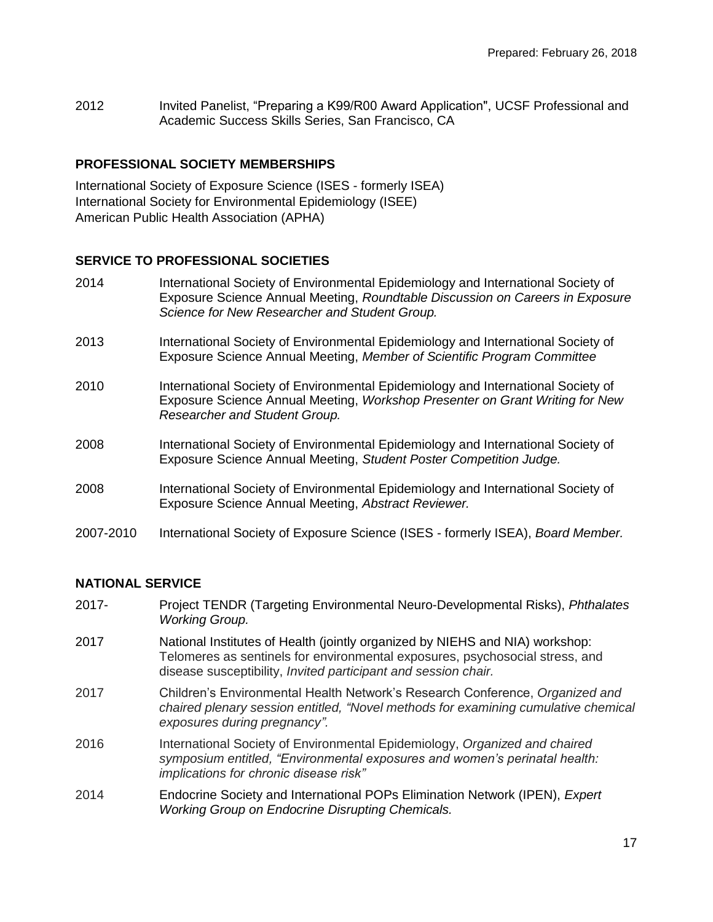2012 Invited Panelist, "Preparing a K99/R00 Award Application", UCSF Professional and Academic Success Skills Series, San Francisco, CA

### **PROFESSIONAL SOCIETY MEMBERSHIPS**

International Society of Exposure Science (ISES - formerly ISEA) International Society for Environmental Epidemiology (ISEE) American Public Health Association (APHA)

#### **SERVICE TO PROFESSIONAL SOCIETIES**

| 2014      | International Society of Environmental Epidemiology and International Society of<br>Exposure Science Annual Meeting, Roundtable Discussion on Careers in Exposure<br>Science for New Researcher and Student Group. |
|-----------|--------------------------------------------------------------------------------------------------------------------------------------------------------------------------------------------------------------------|
| 2013      | International Society of Environmental Epidemiology and International Society of<br>Exposure Science Annual Meeting, Member of Scientific Program Committee                                                        |
| 2010      | International Society of Environmental Epidemiology and International Society of<br>Exposure Science Annual Meeting, Workshop Presenter on Grant Writing for New<br>Researcher and Student Group.                  |
| 2008      | International Society of Environmental Epidemiology and International Society of<br>Exposure Science Annual Meeting, Student Poster Competition Judge.                                                             |
| 2008      | International Society of Environmental Epidemiology and International Society of<br>Exposure Science Annual Meeting, Abstract Reviewer.                                                                            |
| 2007-2010 | International Society of Exposure Science (ISES - formerly ISEA), Board Member.                                                                                                                                    |

### **NATIONAL SERVICE**

- 2017- Project TENDR (Targeting Environmental Neuro-Developmental Risks), *Phthalates Working Group.*
- 2017 National Institutes of Health (jointly organized by NIEHS and NIA) workshop: Telomeres as sentinels for environmental exposures, psychosocial stress, and disease susceptibility, *Invited participant and session chair.*
- 2017 Children's Environmental Health Network's Research Conference, *Organized and chaired plenary session entitled, "Novel methods for examining cumulative chemical exposures during pregnancy".*
- 2016 International Society of Environmental Epidemiology, *Organized and chaired symposium entitled, "Environmental exposures and women's perinatal health: implications for chronic disease risk"*
- 2014 Endocrine Society and International POPs Elimination Network (IPEN), *Expert Working Group on Endocrine Disrupting Chemicals.*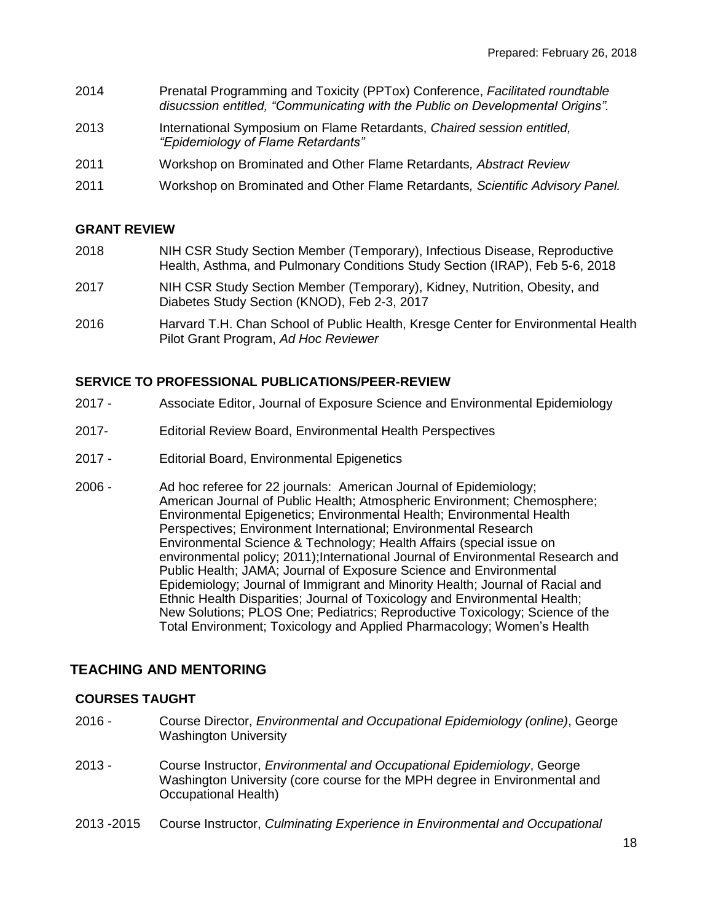- 2014 Prenatal Programming and Toxicity (PPTox) Conference, *Facilitated roundtable disucssion entitled, "Communicating with the Public on Developmental Origins".*
- 2013 International Symposium on Flame Retardants, *Chaired session entitled, "Epidemiology of Flame Retardants"*
- 2011 Workshop on Brominated and Other Flame Retardants*, Abstract Review*
- 2011 Workshop on Brominated and Other Flame Retardants*, Scientific Advisory Panel.*

#### **GRANT REVIEW**

- 2018 NIH CSR Study Section Member (Temporary), Infectious Disease, Reproductive Health, Asthma, and Pulmonary Conditions Study Section (IRAP), Feb 5-6, 2018
- 2017 NIH CSR Study Section Member (Temporary), Kidney, Nutrition, Obesity, and Diabetes Study Section (KNOD), Feb 2-3, 2017
- 2016 Harvard T.H. Chan School of Public Health, Kresge Center for Environmental Health Pilot Grant Program, *Ad Hoc Reviewer*

#### **SERVICE TO PROFESSIONAL PUBLICATIONS/PEER-REVIEW**

- 2017 Associate Editor, Journal of Exposure Science and Environmental Epidemiology
- 2017- Editorial Review Board, Environmental Health Perspectives
- 2017 Editorial Board, Environmental Epigenetics
- 2006 Ad hoc referee for 22 journals: American Journal of Epidemiology; American Journal of Public Health; Atmospheric Environment; Chemosphere; Environmental Epigenetics; Environmental Health; Environmental Health Perspectives; Environment International; Environmental Research Environmental Science & Technology; Health Affairs (special issue on environmental policy; 2011);International Journal of Environmental Research and Public Health; JAMA; Journal of Exposure Science and Environmental Epidemiology; Journal of Immigrant and Minority Health; Journal of Racial and Ethnic Health Disparities; Journal of Toxicology and Environmental Health; New Solutions; PLOS One; Pediatrics; Reproductive Toxicology; Science of the Total Environment; Toxicology and Applied Pharmacology; Women's Health

### **TEACHING AND MENTORING**

#### **COURSES TAUGHT**

- 2016 Course Director, *Environmental and Occupational Epidemiology (online)*, George Washington University
- 2013 Course Instructor, *Environmental and Occupational Epidemiology*, George Washington University (core course for the MPH degree in Environmental and Occupational Health)
- 2013 -2015 Course Instructor, *Culminating Experience in Environmental and Occupational*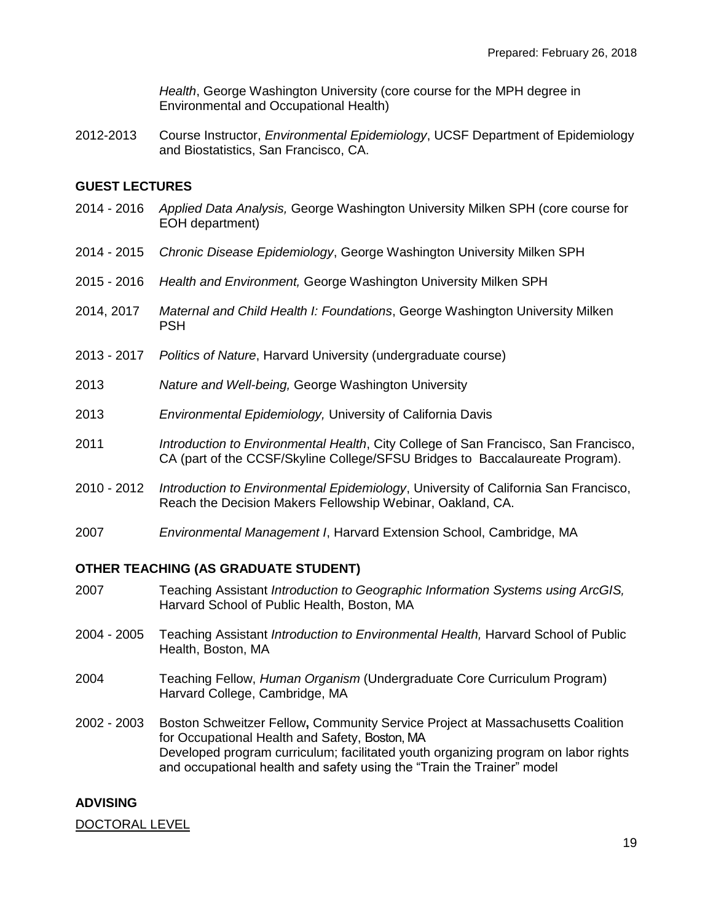*Health*, George Washington University (core course for the MPH degree in Environmental and Occupational Health)

2012-2013 Course Instructor, *Environmental Epidemiology*, UCSF Department of Epidemiology and Biostatistics, San Francisco, CA.

#### **GUEST LECTURES**

- 2014 2016 *Applied Data Analysis,* George Washington University Milken SPH (core course for EOH department)
- 2014 2015 *Chronic Disease Epidemiology*, George Washington University Milken SPH
- 2015 2016 *Health and Environment,* George Washington University Milken SPH
- 2014, 2017 *Maternal and Child Health I: Foundations*, George Washington University Milken PSH
- 2013 2017 *Politics of Nature*, Harvard University (undergraduate course)
- 2013 *Nature and Well-being,* George Washington University
- 2013 *Environmental Epidemiology,* University of California Davis
- 2011 *Introduction to Environmental Health*, City College of San Francisco, San Francisco, CA (part of the CCSF/Skyline College/SFSU Bridges to Baccalaureate Program).
- 2010 2012 *Introduction to Environmental Epidemiology*, University of California San Francisco, Reach the Decision Makers Fellowship Webinar, Oakland, CA.
- 2007 *Environmental Management I*, Harvard Extension School, Cambridge, MA

#### **OTHER TEACHING (AS GRADUATE STUDENT)**

- 2007 Teaching Assistant *Introduction to Geographic Information Systems using ArcGIS,*  Harvard School of Public Health, Boston, MA
- 2004 2005 Teaching Assistant *Introduction to Environmental Health,* Harvard School of Public Health, Boston, MA
- 2004 Teaching Fellow, *Human Organism* (Undergraduate Core Curriculum Program) Harvard College, Cambridge, MA
- 2002 2003 Boston Schweitzer Fellow**,** Community Service Project at Massachusetts Coalition for Occupational Health and Safety, Boston, MA Developed program curriculum; facilitated youth organizing program on labor rights and occupational health and safety using the "Train the Trainer" model

#### **ADVISING**

#### DOCTORAL LEVEL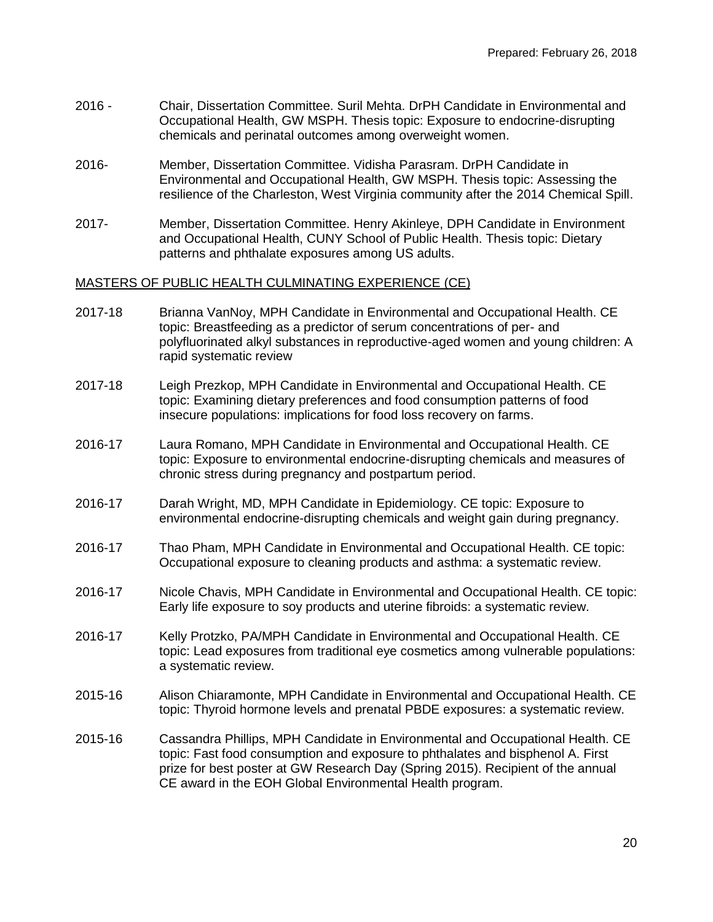- 2016 Chair, Dissertation Committee. Suril Mehta. DrPH Candidate in Environmental and Occupational Health, GW MSPH. Thesis topic: Exposure to endocrine-disrupting chemicals and perinatal outcomes among overweight women.
- 2016- Member, Dissertation Committee. Vidisha Parasram. DrPH Candidate in Environmental and Occupational Health, GW MSPH. Thesis topic: Assessing the resilience of the Charleston, West Virginia community after the 2014 Chemical Spill.
- 2017- Member, Dissertation Committee. Henry Akinleye, DPH Candidate in Environment and Occupational Health, CUNY School of Public Health. Thesis topic: Dietary patterns and phthalate exposures among US adults.

#### MASTERS OF PUBLIC HEALTH CULMINATING EXPERIENCE (CE)

- 2017-18 Brianna VanNoy, MPH Candidate in Environmental and Occupational Health. CE topic: Breastfeeding as a predictor of serum concentrations of per- and polyfluorinated alkyl substances in reproductive-aged women and young children: A rapid systematic review
- 2017-18 Leigh Prezkop, MPH Candidate in Environmental and Occupational Health. CE topic: Examining dietary preferences and food consumption patterns of food insecure populations: implications for food loss recovery on farms.
- 2016-17 Laura Romano, MPH Candidate in Environmental and Occupational Health. CE topic: Exposure to environmental endocrine-disrupting chemicals and measures of chronic stress during pregnancy and postpartum period.
- 2016-17 Darah Wright, MD, MPH Candidate in Epidemiology. CE topic: Exposure to environmental endocrine-disrupting chemicals and weight gain during pregnancy.
- 2016-17 Thao Pham, MPH Candidate in Environmental and Occupational Health. CE topic: Occupational exposure to cleaning products and asthma: a systematic review.
- 2016-17 Nicole Chavis, MPH Candidate in Environmental and Occupational Health. CE topic: Early life exposure to soy products and uterine fibroids: a systematic review.
- 2016-17 Kelly Protzko, PA/MPH Candidate in Environmental and Occupational Health. CE topic: Lead exposures from traditional eye cosmetics among vulnerable populations: a systematic review.
- 2015-16 Alison Chiaramonte, MPH Candidate in Environmental and Occupational Health. CE topic: Thyroid hormone levels and prenatal PBDE exposures: a systematic review.
- 2015-16 Cassandra Phillips, MPH Candidate in Environmental and Occupational Health. CE topic: Fast food consumption and exposure to phthalates and bisphenol A. First prize for best poster at GW Research Day (Spring 2015). Recipient of the annual CE award in the EOH Global Environmental Health program.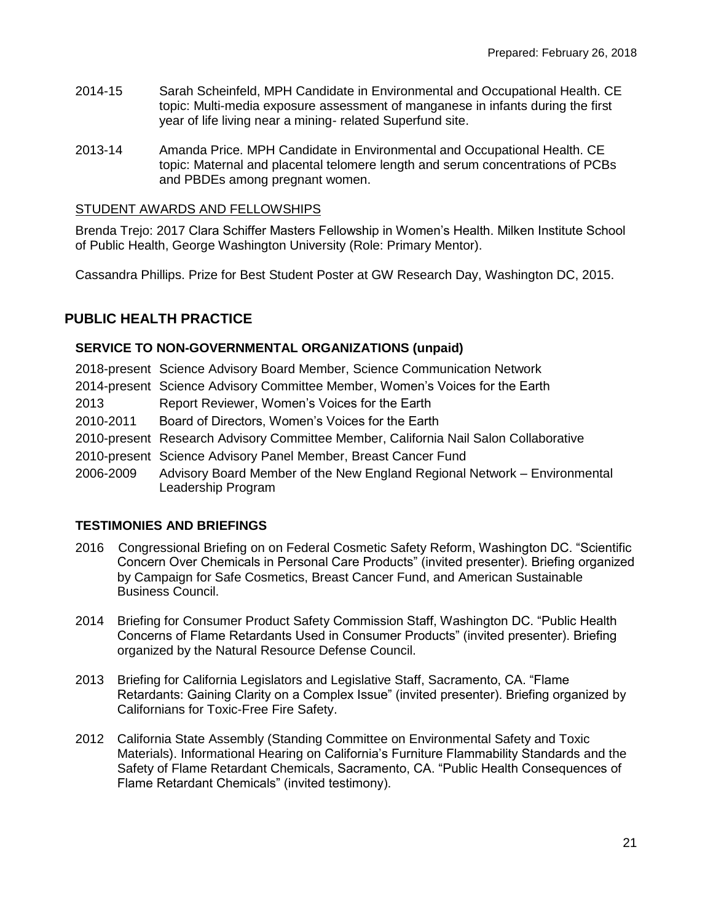- 2014-15 Sarah Scheinfeld, MPH Candidate in Environmental and Occupational Health. CE topic: Multi-media exposure assessment of manganese in infants during the first year of life living near a mining- related Superfund site.
- 2013-14 Amanda Price. MPH Candidate in Environmental and Occupational Health. CE topic: Maternal and placental telomere length and serum concentrations of PCBs and PBDEs among pregnant women.

#### STUDENT AWARDS AND FELLOWSHIPS

Brenda Trejo: 2017 Clara Schiffer Masters Fellowship in Women's Health. Milken Institute School of Public Health, George Washington University (Role: Primary Mentor).

Cassandra Phillips. Prize for Best Student Poster at GW Research Day, Washington DC, 2015.

# **PUBLIC HEALTH PRACTICE**

#### **SERVICE TO NON-GOVERNMENTAL ORGANIZATIONS (unpaid)**

2018-present Science Advisory Board Member, Science Communication Network 2014-present Science Advisory Committee Member, Women's Voices for the Earth 2013 Report Reviewer, Women's Voices for the Earth 2010-2011 Board of Directors, Women's Voices for the Earth 2010-present Research Advisory Committee Member, California Nail Salon Collaborative 2010-present Science Advisory Panel Member, Breast Cancer Fund

2006-2009 Advisory Board Member of the New England Regional Network – Environmental Leadership Program

### **TESTIMONIES AND BRIEFINGS**

- 2016 Congressional Briefing on on Federal Cosmetic Safety Reform, Washington DC. "Scientific Concern Over Chemicals in Personal Care Products" (invited presenter). Briefing organized by Campaign for Safe Cosmetics, Breast Cancer Fund, and American Sustainable Business Council.
- 2014 Briefing for Consumer Product Safety Commission Staff, Washington DC. "Public Health Concerns of Flame Retardants Used in Consumer Products" (invited presenter). Briefing organized by the Natural Resource Defense Council.
- 2013 Briefing for California Legislators and Legislative Staff, Sacramento, CA. "Flame Retardants: Gaining Clarity on a Complex Issue" (invited presenter). Briefing organized by Californians for Toxic-Free Fire Safety.
- 2012 California State Assembly (Standing Committee on Environmental Safety and Toxic Materials). Informational Hearing on California's Furniture Flammability Standards and the Safety of Flame Retardant Chemicals, Sacramento, CA. "Public Health Consequences of Flame Retardant Chemicals" (invited testimony).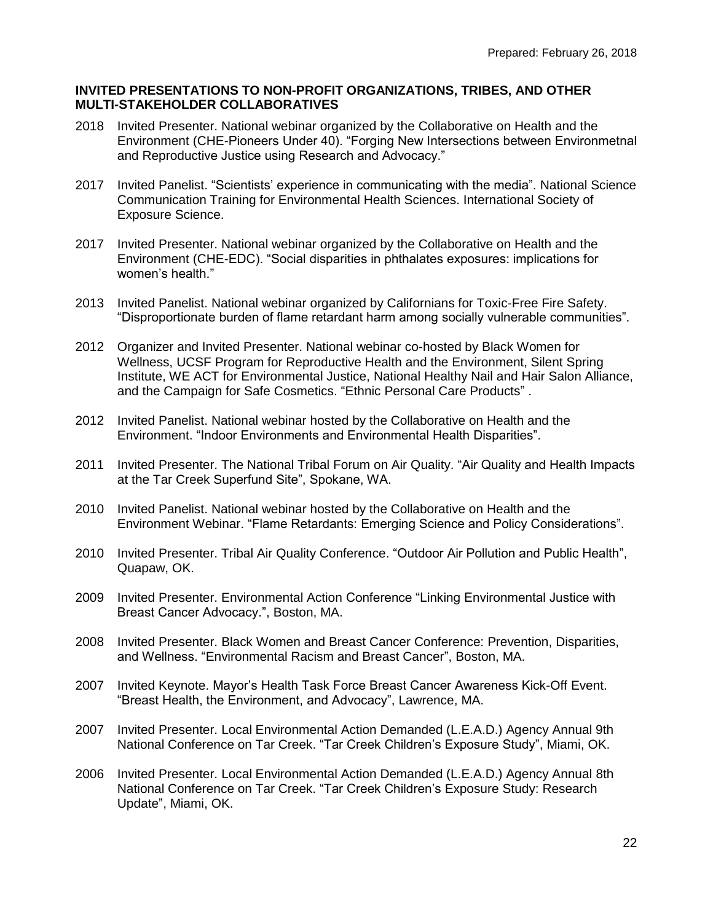#### **INVITED PRESENTATIONS TO NON-PROFIT ORGANIZATIONS, TRIBES, AND OTHER MULTI-STAKEHOLDER COLLABORATIVES**

- 2018 Invited Presenter. National webinar organized by the Collaborative on Health and the Environment (CHE-Pioneers Under 40). "Forging New Intersections between Environmetnal and Reproductive Justice using Research and Advocacy."
- 2017 Invited Panelist. "Scientists' experience in communicating with the media". National Science Communication Training for Environmental Health Sciences. International Society of Exposure Science.
- 2017 Invited Presenter. National webinar organized by the Collaborative on Health and the Environment (CHE-EDC). "Social disparities in phthalates exposures: implications for women's health."
- 2013 Invited Panelist. National webinar organized by Californians for Toxic-Free Fire Safety. "Disproportionate burden of flame retardant harm among socially vulnerable communities".
- 2012 Organizer and Invited Presenter. National webinar co-hosted by Black Women for Wellness, UCSF Program for Reproductive Health and the Environment, Silent Spring Institute, WE ACT for Environmental Justice, National Healthy Nail and Hair Salon Alliance, and the Campaign for Safe Cosmetics. "Ethnic Personal Care Products" .
- 2012 Invited Panelist. National webinar hosted by the Collaborative on Health and the Environment. "Indoor Environments and Environmental Health Disparities".
- 2011 Invited Presenter. The National Tribal Forum on Air Quality. "Air Quality and Health Impacts at the Tar Creek Superfund Site", Spokane, WA.
- 2010 Invited Panelist. National webinar hosted by the Collaborative on Health and the Environment Webinar. "Flame Retardants: Emerging Science and Policy Considerations".
- 2010 Invited Presenter. Tribal Air Quality Conference. "Outdoor Air Pollution and Public Health", Quapaw, OK.
- 2009 Invited Presenter. Environmental Action Conference "Linking Environmental Justice with Breast Cancer Advocacy.", Boston, MA.
- 2008 Invited Presenter. Black Women and Breast Cancer Conference: Prevention, Disparities, and Wellness. "Environmental Racism and Breast Cancer", Boston, MA.
- 2007 Invited Keynote. Mayor's Health Task Force Breast Cancer Awareness Kick-Off Event. "Breast Health, the Environment, and Advocacy", Lawrence, MA.
- 2007 Invited Presenter. Local Environmental Action Demanded (L.E.A.D.) Agency Annual 9th National Conference on Tar Creek. "Tar Creek Children's Exposure Study", Miami, OK.
- 2006 Invited Presenter. Local Environmental Action Demanded (L.E.A.D.) Agency Annual 8th National Conference on Tar Creek. "Tar Creek Children's Exposure Study: Research Update", Miami, OK.